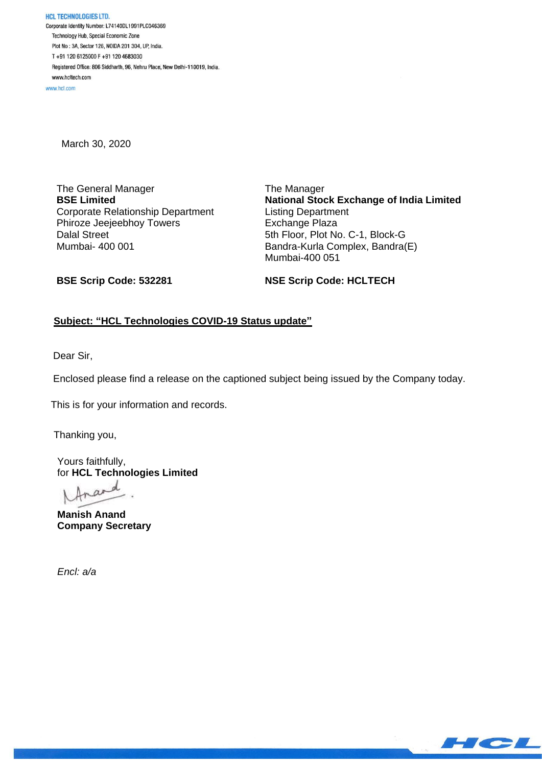**HCL TECHNOLOGIES LTD.** Corporate Identity Number: L74140DL1991PLC046369 Technology Hub, Special Economic Zone Plot No : 3A, Sector 126, NOIDA 201 304, UP, India. T+91 120 6125000 F+91 120 4683030 Registered Office: 806 Siddharth, 96, Nehru Place, New Delhi-110019, India. www.hcltech.com

www.hcl.com

March 30, 2020

The General Manager **BSE Limited** Corporate Relationship Department Phiroze Jeejeebhoy Towers Dalal Street Mumbai- 400 001

The Manager **National Stock Exchange of India Limited** Listing Department Exchange Plaza 5th Floor, Plot No. C-1, Block-G Bandra-Kurla Complex, Bandra(E) Mumbai-400 051

**BSE Scrip Code: 532281**

**NSE Scrip Code: HCLTECH**

# **Subject: "HCL Technologies COVID-19 Status update"**

Dear Sir,

Enclosed please find a release on the captioned subject being issued by the Company today.

This is for your information and records.

Thanking you,

Yours faithfully, for **HCL Technologies Limited**

**Manish Anand Company Secretary**

*Encl: a/a*

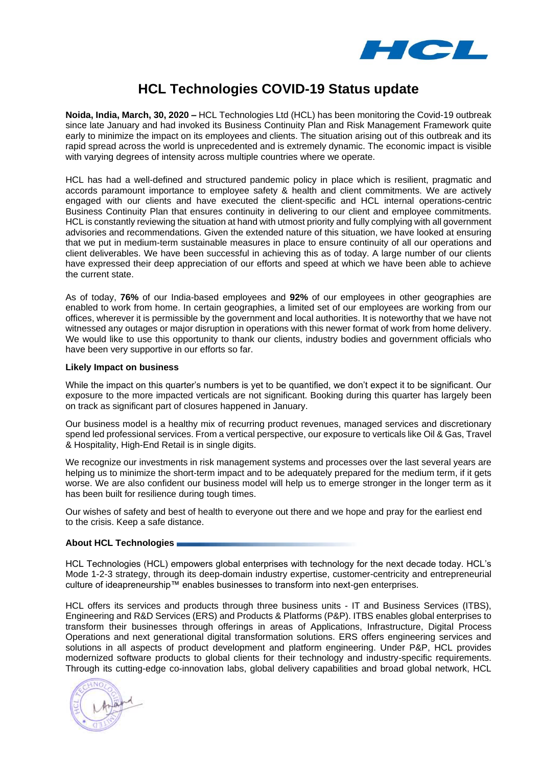

# **HCL Technologies COVID-19 Status update**

**Noida, India, March, 30, 2020 –** HCL Technologies Ltd (HCL) has been monitoring the Covid-19 outbreak since late January and had invoked its Business Continuity Plan and Risk Management Framework quite early to minimize the impact on its employees and clients. The situation arising out of this outbreak and its rapid spread across the world is unprecedented and is extremely dynamic. The economic impact is visible with varying degrees of intensity across multiple countries where we operate.

HCL has had a well-defined and structured pandemic policy in place which is resilient, pragmatic and accords paramount importance to employee safety & health and client commitments. We are actively engaged with our clients and have executed the client-specific and HCL internal operations-centric Business Continuity Plan that ensures continuity in delivering to our client and employee commitments. HCL is constantly reviewing the situation at hand with utmost priority and fully complying with all government advisories and recommendations. Given the extended nature of this situation, we have looked at ensuring that we put in medium-term sustainable measures in place to ensure continuity of all our operations and client deliverables. We have been successful in achieving this as of today. A large number of our clients have expressed their deep appreciation of our efforts and speed at which we have been able to achieve the current state.

As of today, **76%** of our India-based employees and **92%** of our employees in other geographies are enabled to work from home. In certain geographies, a limited set of our employees are working from our offices, wherever it is permissible by the government and local authorities. It is noteworthy that we have not witnessed any outages or major disruption in operations with this newer format of work from home delivery. We would like to use this opportunity to thank our clients, industry bodies and government officials who have been very supportive in our efforts so far.

#### **Likely Impact on business**

While the impact on this quarter's numbers is yet to be quantified, we don't expect it to be significant. Our exposure to the more impacted verticals are not significant. Booking during this quarter has largely been on track as significant part of closures happened in January.

Our business model is a healthy mix of recurring product revenues, managed services and discretionary spend led professional services. From a vertical perspective, our exposure to verticals like Oil & Gas, Travel & Hospitality, High-End Retail is in single digits.

We recognize our investments in risk management systems and processes over the last several years are helping us to minimize the short-term impact and to be adequately prepared for the medium term, if it gets worse. We are also confident our business model will help us to emerge stronger in the longer term as it has been built for resilience during tough times.

Our wishes of safety and best of health to everyone out there and we hope and pray for the earliest end to the crisis. Keep a safe distance.

## **About HCL Technologies**

HCL Technologies (HCL) empowers global enterprises with technology for the next decade today. HCL's Mode 1-2-3 strategy, through its deep-domain industry expertise, customer-centricity and entrepreneurial culture of ideapreneurship™ enables businesses to transform into next-gen enterprises.

HCL offers its services and products through three business units - IT and Business Services (ITBS), Engineering and R&D Services (ERS) and Products & Platforms (P&P). ITBS enables global enterprises to transform their businesses through offerings in areas of Applications, Infrastructure, Digital Process Operations and next generational digital transformation solutions. ERS offers engineering services and solutions in all aspects of product development and platform engineering. Under P&P, HCL provides modernized software products to global clients for their technology and industry-specific requirements. Through its cutting-edge co-innovation labs, global delivery capabilities and broad global network, HCL